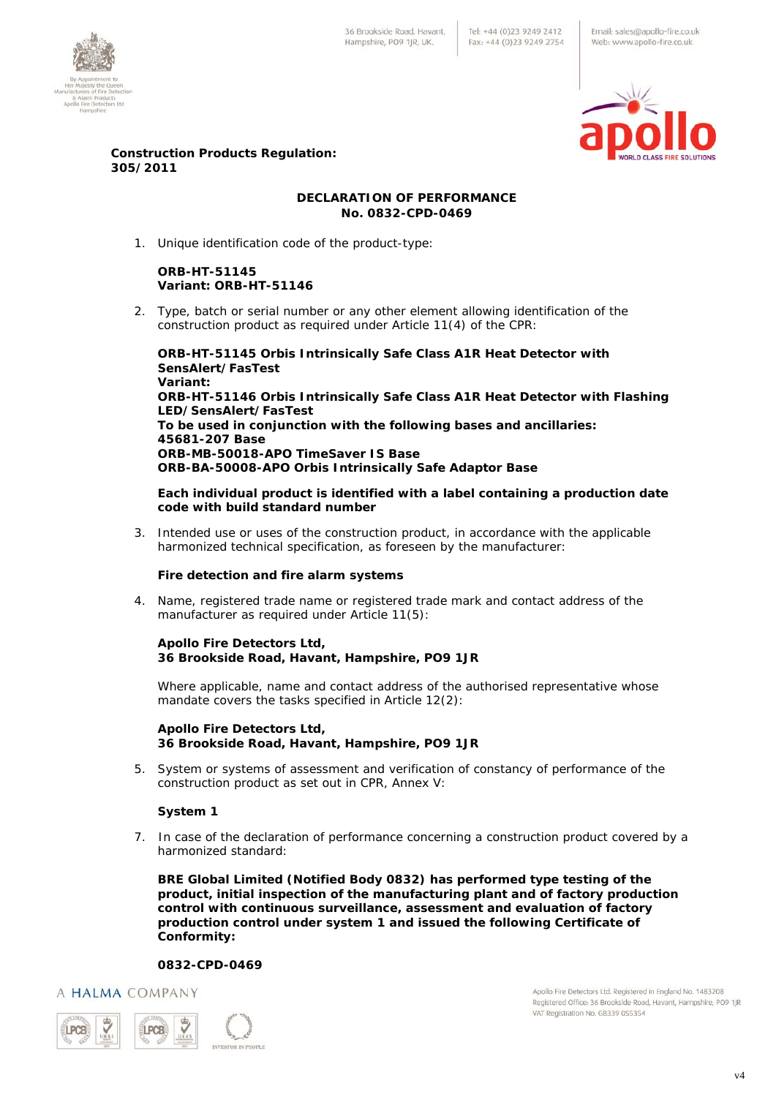36 Brookside Road, Havant Hampshire, PO9 1IR, UK.

Email: sales@apollo-fire.co.uk Web: www.apollo-fire.co.uk





### **Construction Products Regulation: 305/2011**

# **DECLARATION OF PERFORMANCE No. 0832-CPD-0469**

1. Unique identification code of the product-type:

# **ORB-HT-51145 Variant: ORB-HT-51146**

2. Type, batch or serial number or any other element allowing identification of the construction product as required under Article 11(4) of the CPR:

**ORB-HT-51145 Orbis Intrinsically Safe Class A1R Heat Detector with SensAlert/FasTest Variant: ORB-HT-51146 Orbis Intrinsically Safe Class A1R Heat Detector with Flashing LED/SensAlert/FasTest To be used in conjunction with the following bases and ancillaries: 45681-207 Base ORB-MB-50018-APO TimeSaver IS Base ORB-BA-50008-APO Orbis Intrinsically Safe Adaptor Base** 

**Each individual product is identified with a label containing a production date code with build standard number** 

3. Intended use or uses of the construction product, in accordance with the applicable harmonized technical specification, as foreseen by the manufacturer:

### **Fire detection and fire alarm systems**

4. Name, registered trade name or registered trade mark and contact address of the manufacturer as required under Article 11(5):

### **Apollo Fire Detectors Ltd, 36 Brookside Road, Havant, Hampshire, PO9 1JR**

Where applicable, name and contact address of the authorised representative whose mandate covers the tasks specified in Article 12(2):

#### **Apollo Fire Detectors Ltd, 36 Brookside Road, Havant, Hampshire, PO9 1JR**

5. System or systems of assessment and verification of constancy of performance of the construction product as set out in CPR, Annex V:

# **System 1**

7. In case of the declaration of performance concerning a construction product covered by a harmonized standard:

**BRE Global Limited (Notified Body 0832) has performed type testing of the product, initial inspection of the manufacturing plant and of factory production control with continuous surveillance, assessment and evaluation of factory production control under system 1 and issued the following Certificate of Conformity:** 

# **0832-CPD-0469**

A HALMA COMPANY



Apollo Fire Detectors Ltd. Registered in England No. 1483208 Registered Office: 36 Brookside Road, Havant, Hampshire, PO9 1JR VAT Registration No. GB339 055354